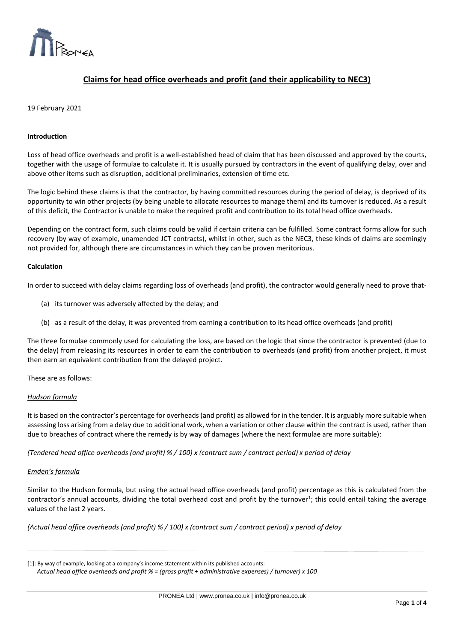

# **Claims for head office overheads and profit (and their applicability to NEC3)**

 $\overline{a}$ 

# 19 February 2021

## **Introduction**

Loss of head office overheads and profit is a well-established head of claim that has been discussed and approved by the courts, together with the usage of formulae to calculate it. It is usually pursued by contractors in the event of qualifying delay, over and above other items such as disruption, additional preliminaries, extension of time etc.

The logic behind these claims is that the contractor, by having committed resources during the period of delay, is deprived of its opportunity to win other projects (by being unable to allocate resources to manage them) and its turnover is reduced. As a result of this deficit, the Contractor is unable to make the required profit and contribution to its total head office overheads.

Depending on the contract form, such claims could be valid if certain criteria can be fulfilled. Some contract forms allow for such recovery (by way of example, unamended JCT contracts), whilst in other, such as the NEC3, these kinds of claims are seemingly not provided for, although there are circumstances in which they can be proven meritorious.

## **Calculation**

In order to succeed with delay claims regarding loss of overheads (and profit), the contractor would generally need to prove that-

- (a) its turnover was adversely affected by the delay; and
- (b) as a result of the delay, it was prevented from earning a contribution to its head office overheads (and profit)

The three formulae commonly used for calculating the loss, are based on the logic that since the contractor is prevented (due to the delay) from releasing its resources in order to earn the contribution to overheads (and profit) from another project, it must then earn an equivalent contribution from the delayed project.

These are as follows:

## *Hudson formula*

It is based on the contractor's percentage for overheads (and profit) as allowed for in the tender. It is arguably more suitable when assessing loss arising from a delay due to additional work, when a variation or other clause within the contract is used, rather than due to breaches of contract where the remedy is by way of damages (where the next formulae are more suitable):

*(Tendered head office overheads (and profit) % / 100) x (contract sum / contract period) x period of delay*

#### *Emden's formula*

Similar to the Hudson formula, but using the actual head office overheads (and profit) percentage as this is calculated from the contractor's annual accounts, dividing the total overhead cost and profit by the turnover<sup>1</sup>; this could entail taking the average values of the last 2 years.

*(Actual head office overheads (and profit) % / 100) x (contract sum / contract period) x period of delay*

| [1]: By way of example, looking at a company's income statement within its published accounts:           |  |
|----------------------------------------------------------------------------------------------------------|--|
| Actual head office overheads and profit $%$ = (gross profit + administrative expenses) / turnover) x 100 |  |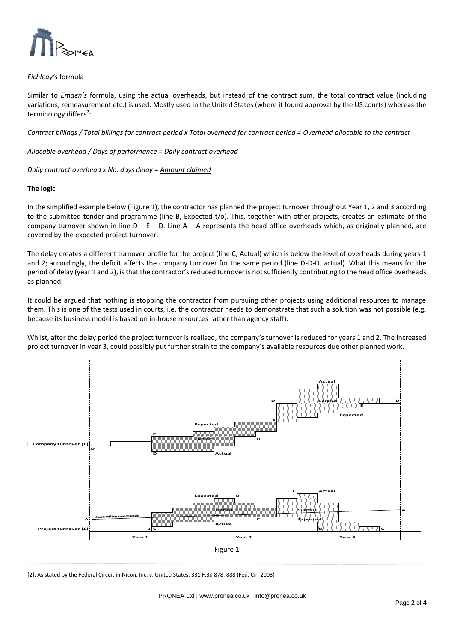

# *Eichleay's* formula

Similar to *Emden's* formula, using the actual overheads, but instead of the contract sum, the total contract value (including variations, remeasurement etc.) is used. Mostly used in the United States (where it found approval by the US courts) whereas the terminology differs<sup>2</sup>:

*Contract billings / Total billings for contract period x Total overhead for contract period = Overhead allocable to the contract*

 $\overline{a}$ 

*Allocable overhead / Days of performance = Daily contract overhead*

*Daily contract overhead x No. days delay = Amount claimed*

## **The logic**

In the simplified example below (Figure 1), the contractor has planned the project turnover throughout Year 1, 2 and 3 according to the submitted tender and programme (line B, Expected t/o). This, together with other projects, creates an estimate of the company turnover shown in line  $D - E - D$ . Line A – A represents the head office overheads which, as originally planned, are covered by the expected project turnover.

The delay creates a different turnover profile for the project (line C, Actual) which is below the level of overheads during years 1 and 2; accordingly, the deficit affects the company turnover for the same period (line D-D-D, actual). What this means for the period of delay (year 1 and 2), is that the contractor's reduced turnover is not sufficiently contributing to the head office overheads as planned.

It could be argued that nothing is stopping the contractor from pursuing other projects using additional resources to manage them. This is one of the tests used in courts, i.e. the contractor needs to demonstrate that such a solution was not possible (e.g. because its business model is based on in-house resources rather than agency staff).

Whilst, after the delay period the project turnover is realised, the company's turnover is reduced for years 1 and 2. The increased project turnover in year 3, could possibly put further strain to the company's available resources due other planned work.



[2]: As stated by the Federal Circuit in Nicon, Inc. v. United States, 331 F.3d 878, 888 (Fed. Cir. 2003)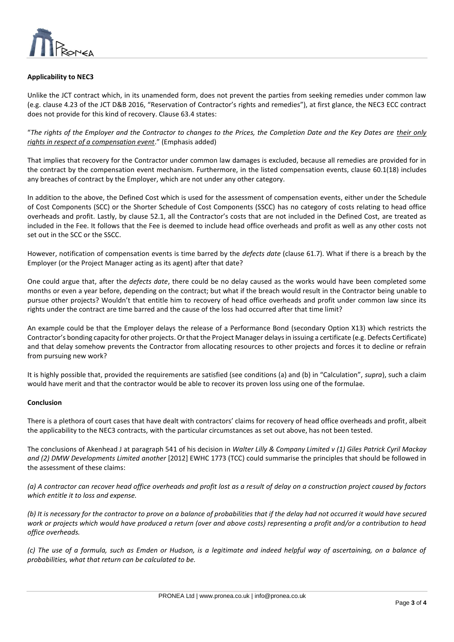

# **Applicability to NEC3**

Unlike the JCT contract which, in its unamended form, does not prevent the parties from seeking remedies under common law (e.g. clause 4.23 of the JCT D&B 2016, "Reservation of Contractor's rights and remedies"), at first glance, the NEC3 ECC contract does not provide for this kind of recovery. Clause 63.4 states:

 $\overline{a}$ 

"*The rights of the Employer and the Contractor to changes to the Prices, the Completion Date and the Key Dates are their only rights in respect of a compensation event*." (Emphasis added)

That implies that recovery for the Contractor under common law damages is excluded, because all remedies are provided for in the contract by the compensation event mechanism. Furthermore, in the listed compensation events, clause 60.1(18) includes any breaches of contract by the Employer, which are not under any other category.

In addition to the above, the Defined Cost which is used for the assessment of compensation events, either under the Schedule of Cost Components (SCC) or the Shorter Schedule of Cost Components (SSCC) has no category of costs relating to head office overheads and profit. Lastly, by clause 52.1, all the Contractor's costs that are not included in the Defined Cost, are treated as included in the Fee. It follows that the Fee is deemed to include head office overheads and profit as well as any other costs not set out in the SCC or the SSCC.

However, notification of compensation events is time barred by the *defects date* (clause 61.7). What if there is a breach by the Employer (or the Project Manager acting as its agent) after that date?

One could argue that, after the *defects date*, there could be no delay caused as the works would have been completed some months or even a year before, depending on the contract; but what if the breach would result in the Contractor being unable to pursue other projects? Wouldn't that entitle him to recovery of head office overheads and profit under common law since its rights under the contract are time barred and the cause of the loss had occurred after that time limit?

An example could be that the Employer delays the release of a Performance Bond (secondary Option X13) which restricts the Contractor's bonding capacity for other projects. Or that the Project Manager delays in issuing a certificate (e.g. Defects Certificate) and that delay somehow prevents the Contractor from allocating resources to other projects and forces it to decline or refrain from pursuing new work?

It is highly possible that, provided the requirements are satisfied (see conditions (a) and (b) in "Calculation", *supra*), such a claim would have merit and that the contractor would be able to recover its proven loss using one of the formulae.

## **Conclusion**

There is a plethora of court cases that have dealt with contractors' claims for recovery of head office overheads and profit, albeit the applicability to the NEC3 contracts, with the particular circumstances as set out above, has not been tested.

The conclusions of Akenhead J at paragraph 541 of his decision in *Walter Lilly & Company Limited v (1) Giles Patrick Cyril Mackay and (2) DMW Developments Limited another* [2012] EWHC 1773 (TCC) could summarise the principles that should be followed in the assessment of these claims:

*(a) A contractor can recover head office overheads and profit lost as a result of delay on a construction project caused by factors which entitle it to loss and expense.*

(b) It is necessary for the contractor to prove on a balance of probabilities that if the delay had not occurred it would have secured *work or projects which would have produced a return (over and above costs) representing a profit and/or a contribution to head office overheads.*

*(c) The use of a formula, such as Emden or Hudson, is a legitimate and indeed helpful way of ascertaining, on a balance of probabilities, what that return can be calculated to be.*